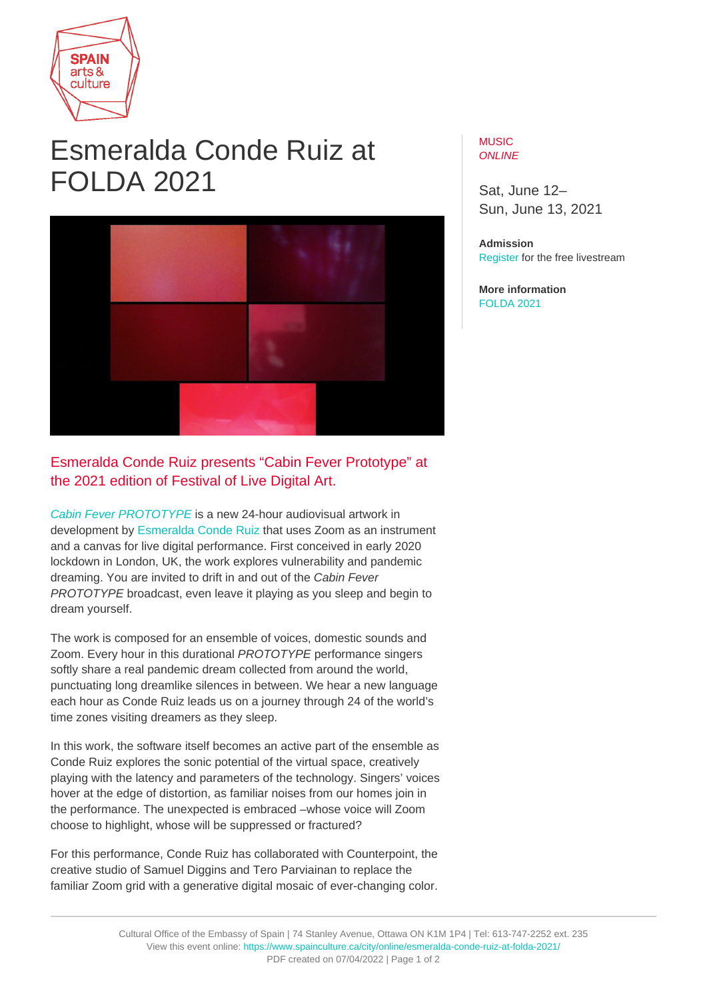

## Esmeralda Conde Ruiz at FOLDA 2021



## Esmeralda Conde Ruiz presents "Cabin Fever Prototype" at the 2021 edition of Festival of Live Digital Art.

[Cabin Fever PROTOTYPE](https://www.folda.ca/event/cabin-fever-prototype/) is a new 24-hour audiovisual artwork in development by [Esmeralda Conde Ruiz](http://econderuiz.com/) that uses Zoom as an instrument and a canvas for live digital performance. First conceived in early 2020 lockdown in London, UK, the work explores vulnerability and pandemic dreaming. You are invited to drift in and out of the Cabin Fever PROTOTYPE broadcast, even leave it playing as you sleep and begin to dream yourself.

The work is composed for an ensemble of voices, domestic sounds and Zoom. Every hour in this durational PROTOTYPE performance singers softly share a real pandemic dream collected from around the world, punctuating long dreamlike silences in between. We hear a new language each hour as Conde Ruiz leads us on a journey through 24 of the world's time zones visiting dreamers as they sleep.

In this work, the software itself becomes an active part of the ensemble as Conde Ruiz explores the sonic potential of the virtual space, creatively playing with the latency and parameters of the technology. Singers' voices hover at the edge of distortion, as familiar noises from our homes join in the performance. The unexpected is embraced –whose voice will Zoom choose to highlight, whose will be suppressed or fractured?

For this performance, Conde Ruiz has collaborated with Counterpoint, the creative studio of Samuel Diggins and Tero Parviainan to replace the familiar Zoom grid with a generative digital mosaic of ever-changing color.

## MUSIC. ONI INF

Sat, June 12– Sun, June 13, 2021

**Admission** [Register](https://www.folda.ca/event/cabin-fever-prototype/) for the free livestream

**More information** [FOLDA 2021](https://www.folda.ca/festival-2021/)